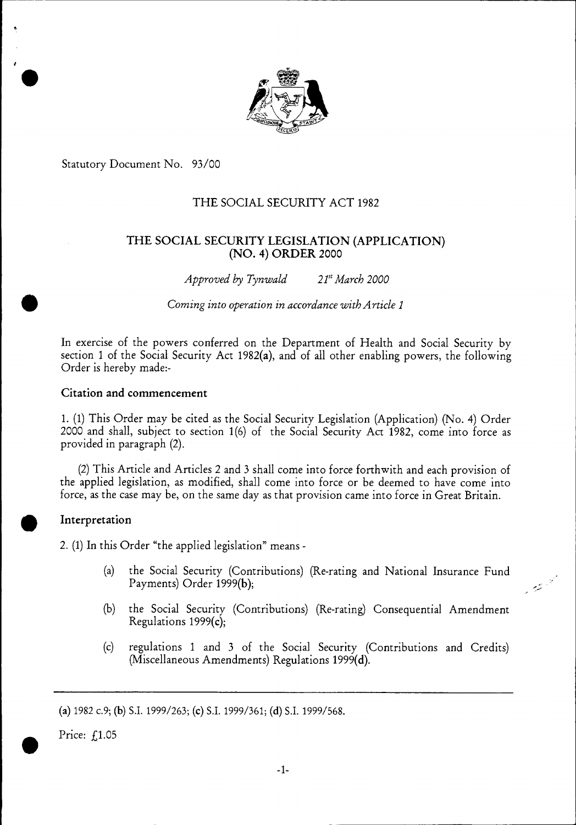

Statutory Document No. 93/00

# THE SOCIAL SECURITY ACT 1982

# THE SOCIAL SECURITY LEGISLATION (APPLICATION) (NO. 4) ORDER 2000

*Approved by Tynwald 2151 March 2000* 

6 *Coming into operation in accordance with Article 1* 

In exercise of the powers conferred on the Department of Health and Social Security by section 1 of the Social Security Act 1982(a), and of all other enabling powers, the following Order is hereby made:-

# Citation and commencement

1. (1) This Order may be cited as the Social Security Legislation (Application) (No. 4) Order 2000 and shall, subject to section 1(6) of the Social Security Act 1982, come into force as provided in paragraph (2).

(2) This Article and Articles 2 and 3 shall come into force forthwith and each provision of the applied legislation, as modified, shall come into force or be deemed to have come into force, as the case may be, on the same day as that provision came into force in Great Britain.

## **Interpretation**

2. (1) In this Order "the applied legislation" means -

(a) the Social Security (Contributions) (Re-rating and National Insurance Fund Payments) Order 1999(b);

المستحقية<br>المستحق

- (b) the Social Security (Contributions) (Re-rating) Consequential Amendment Regulations 1999(c);
- (c) regulations 1 and 3 of the Social Security (Contributions and Credits) (Miscellaneous Amendments) Regulations 1999(d).

(a) 1982 c.9; (b) S.I. 1999/263; (c) S.I. 1999/361; (d) S.I. 1999/568.

Price: f.1.05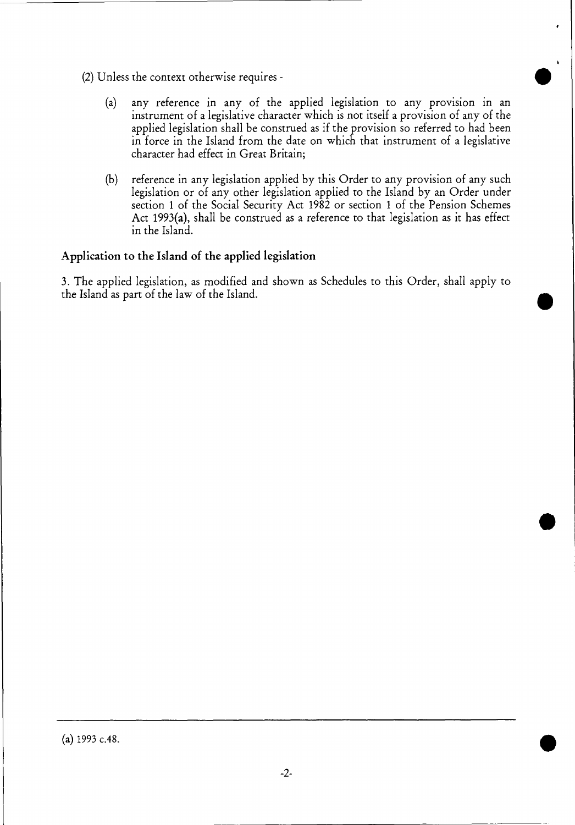- (2) Unless the context otherwise requires
	- (a) any reference in any of the applied legislation to any provision in an instrument of a legislative character which is not itself a provision of any of the applied legislation shall be construed as if the provision so referred to had been in force in the Island from the date on which that instrument of a legislative character had effect in Great Britain;
	- (b) reference in any legislation applied by this Order to any provision of any such legislation or of any other legislation applied to the Island by an Order under section 1 of the Social Security Act 1982 or section **1** of the Pension Schemes Act 1993(a), shall be construed as a reference to that legislation as it has effect in the Island.

# **Application to the Island of the applied legislation**

3. The applied legislation, as modified and shown as Schedules to this Order, shall apply to the Island as part of the law of the Island.

(a) 1993 c.48.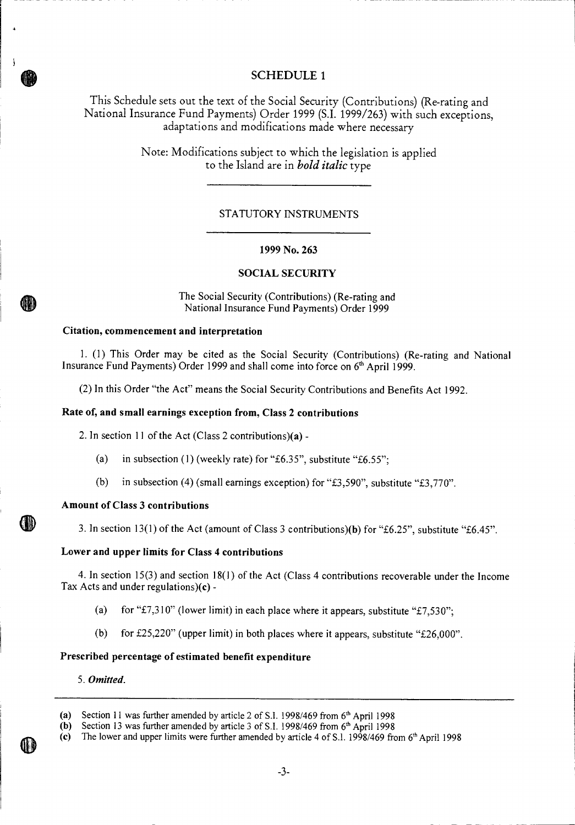# **SCHEDULE 1**

This Schedule sets out the text of the Social Security (Contributions) (Re-rating and National Insurance Fund Payments) Order 1999 (S.I. 1999/263) with such exceptions, adaptations and modifications made where necessary

> Note: Modifications subject to which the legislation is applied to the Island are in *bold italic* type

### STATUTORY INSTRUMENTS

#### **1999 No. 263**

### **SOCIAL SECURITY**

The Social Security (Contributions) (Re-rating and National Insurance Fund Payments) Order 1999

#### **Citation, commencement and interpretation**

1. (1) This Order may be cited as the Social Security (Contributions) (Re-rating and National Insurance Fund Payments) Order 1999 and shall come into force on 6<sup>th</sup> April 1999.

(2) In this Order "the Act" means the Social Security Contributions and Benefits Act 1992.

#### **Rate of, and small earnings exception from, Class 2 contributions**

2. In section 11 of the Act (Class 2 contributions)(a) -

- (a) in subsection (1) (weekly rate) for "£6.35", substitute "£6.55";
- (b) in subsection (4) (small earnings exception) for "£3,590", substitute "£3,770".

#### **Amount of Class 3 contributions**

3. In section 13(1) of the Act (amount of Class 3 contributions)(b) for "£6.25", substitute "£6.45".

### **Lower and upper limits for Class 4 contributions**

4. In section 15(3) and section 18(1) of the Act (Class 4 contributions recoverable under the Income Tax Acts and under regulations)(c) -

- (a) for "£7,310" (lower limit) in each place where it appears, substitute "£7,530";
- (b) for  $£25,220"$  (upper limit) in both places where it appears, substitute " $£26,000"$ .

### **Prescribed percentage of estimated benefit expenditure**

5. *Omitted.* 

**4 11)** 

<sup>(</sup>a) Section 11 was further amended by article 2 of S.I. 1998/469 from  $6<sup>th</sup>$  April 1998

<sup>(</sup>b) Section 13 was further amended by article 3 of S.I. 1998/469 from  $6<sup>th</sup>$  April 1998

<sup>(</sup>c) The lower and upper limits were further amended by article 4 of S.1. 1998/469 from  $6<sup>th</sup>$  April 1998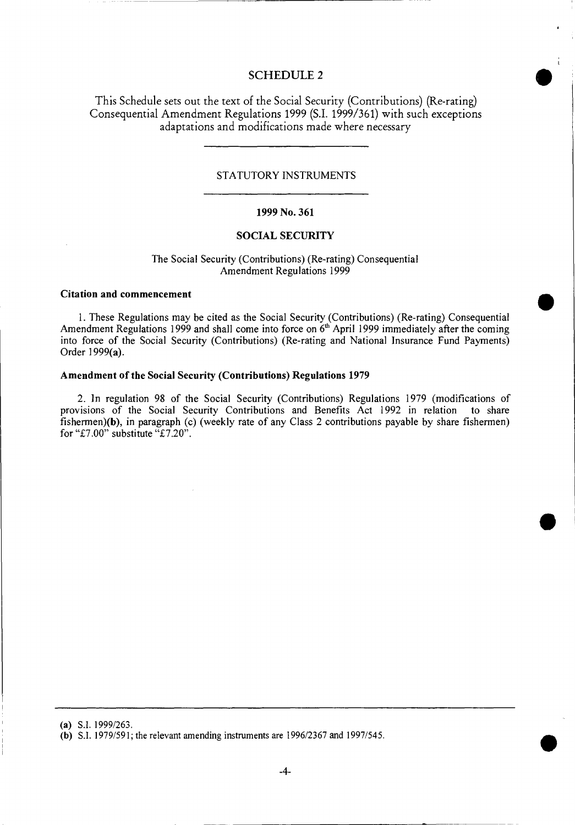## **SCHEDULE 2**

This Schedule sets out the text of the Social Security (Contributions) (Re-rating) Consequential Amendment Regulations 1999 (S.I. 1999/361) with such exceptions adaptations and modifications made where necessary

#### STATUTORY INSTRUMENTS

#### **1999 No. 361**

### **SOCIAL SECURITY**

#### The Social Security (Contributions) (Re-rating) Consequential Amendment Regulations 1999

#### **Citation and commencement**

1. These Regulations may be cited as the Social Security (Contributions) (Re-rating) Consequential Amendment Regulations 1999 and shall come into force on  $6<sup>th</sup>$  April 1999 immediately after the coming into force of the Social Security (Contributions) (Re-rating and National Insurance Fund Payments) Order 1999(a).

#### **Amendment of the Social Security (Contributions) Regulations 1979**

2. In regulation 98 of the Social Security (Contributions) Regulations 1979 (modifications of provisions of the Social Security Contributions and Benefits Act 1992 in relation to share fishermen)(b), in paragraph (c) (weekly rate of any Class 2 contributions payable by share fishermen) for "£7.00" substitute "£7.20".

<sup>(</sup>a) S.I. 1999/263.

<sup>(</sup>b) S.I. 1979/591; the relevant amending instruments are 1996/2367 and 1997/545.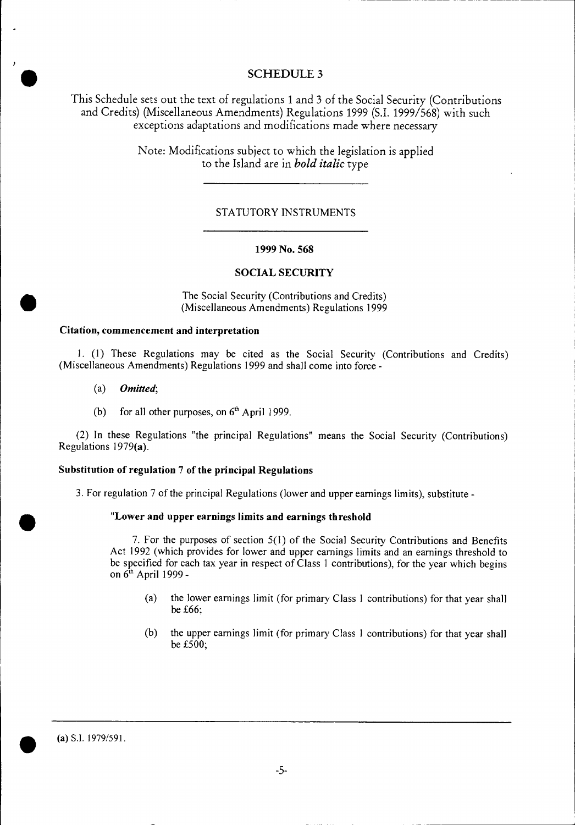# **SCHEDULE 3**

This Schedule sets out the text of regulations 1 and 3 of the Social Security (Contributions and Credits) (Miscellaneous Amendments) Regulations 1999 (S.I. 1999/568) with such exceptions adaptations and modifications made where necessary

> Note: Modifications subject to which the legislation is applied to the Island are in *bold italic* type

### STATUTORY INSTRUMENTS

#### **1999 No. 568**

#### **SOCIAL SECURITY**

The Social Security (Contributions and Credits) (Miscellaneous Amendments) Regulations 1999

#### **Citation, commencement and interpretation**

1. (1) These Regulations may be cited as the Social Security (Contributions and Credits) (Miscellaneous Amendments) Regulations 1999 and shall come into force -

*(a) Omitted;* 

 $\bullet$ 

•

•

(b) for all other purposes, on  $6<sup>th</sup>$  April 1999.

(2) In these Regulations "the principal Regulations" means the Social Security (Contributions) Regulations 1979(a).

#### **Substitution of regulation** *7* **of the principal Regulations**

3. For regulation 7 of the principal Regulations (lower and upper earnings limits), substitute **-** 

### **"Lower and upper earnings limits and earnings threshold**

7. For the purposes of section 5(1) of the Social Security Contributions and Benefits Act 1992 (which provides for lower and upper earnings limits and an earnings threshold to be specified for each tax year in respect of Class I contributions), for the year which begins on  $6<sup>th</sup>$  April 1999 -

- (a) the lower earnings limit (for primary Class 1 contributions) for that year shall be £66;
- (b) the upper earnings limit (for primary Class I contributions) for that year shall be £500;

• (a) S.I. 1979/591.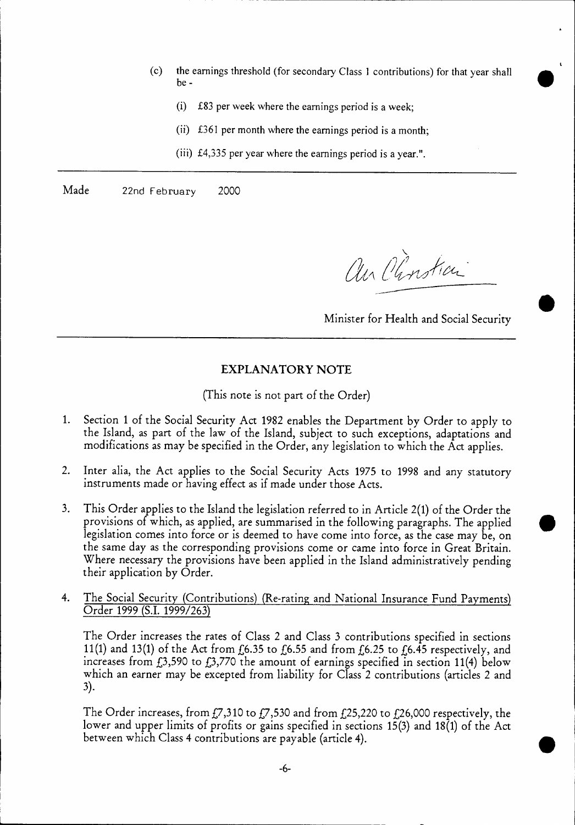- (c) the earnings threshold (for secondary Class 1 contributions) for that year shall be -
	- (i) £83 per week where the earnings period is a week;
	- (ii) £361 per month where the earnings period is a month;
	- (iii) £4,335 per year where the earnings period is a year.".

Made 22nd February 2000

an Clinstian

Minister for Health and Social Security

# EXPLANATORY NOTE

(This note is not part of the Order)

- 1. Section 1 of the Social Security Act 1982 enables the Department by Order to apply to the Island, as part of the law of the Island, subject to such exceptions, adaptations and modifications as may be specified in the Order, any legislation to which the Act applies.
- 2. Inter alia, the Act applies to the Social Security Acts 1975 to 1998 and any statutory instruments made or having effect as if made under those Acts.
- 3. This Order applies to the Island the legislation referred to in Article 2(1) of the Order the provisions of which, as applied, are summarised in the following paragraphs. The applied legislation comes into force or is deemed to have come into force, as the case may be, on the same day as the corresponding provisions come or came into force in Great Britain. Where necessary the provisions have been applied in the Island administratively pending their application by Order.
- 4. The Social Security (Contributions) (Re-rating and National Insurance Fund Payments) Order 1999 (S.I. 1999/263)

The Order increases the rates of Class 2 and Class 3 contributions specified in sections 11(1) and 13(1) of the Act from  $f_6$ .35 to  $f_6$ .55 and from  $f_6$ .25 to  $f_6$ .45 respectively, and increases from £3,590 to £3,770 the amount of earnings specified in section 11(4) below which an earner may be excepted from liability for Class 2 contributions (articles 2 and 3).

The Order increases, from £7,310 to £7,530 and from £25,220 to £26,000 respectively, the lower and upper limits of profits or gains specified in sections 15(3) and 18(1) of the Act between which Class 4 contributions are payable (article 4).